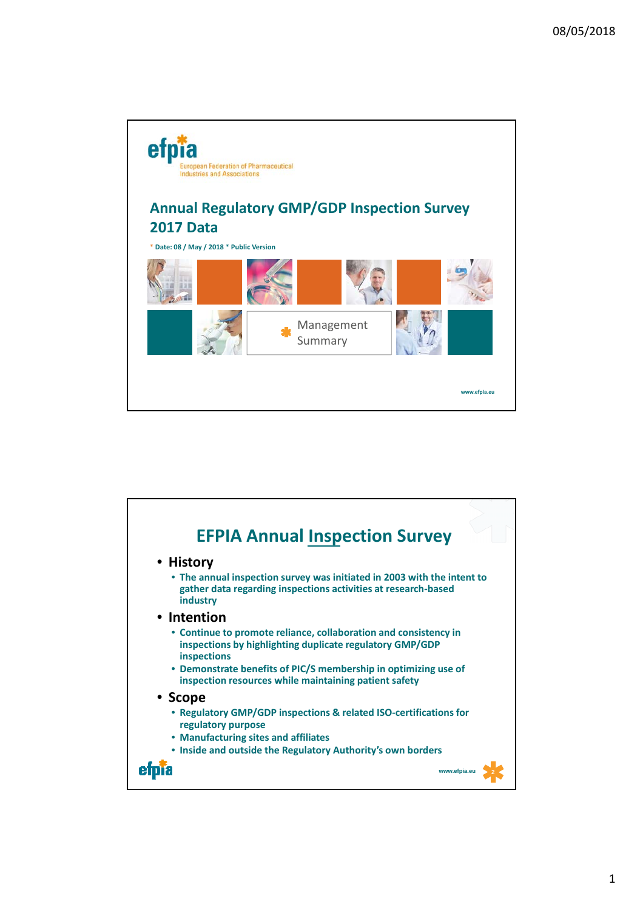

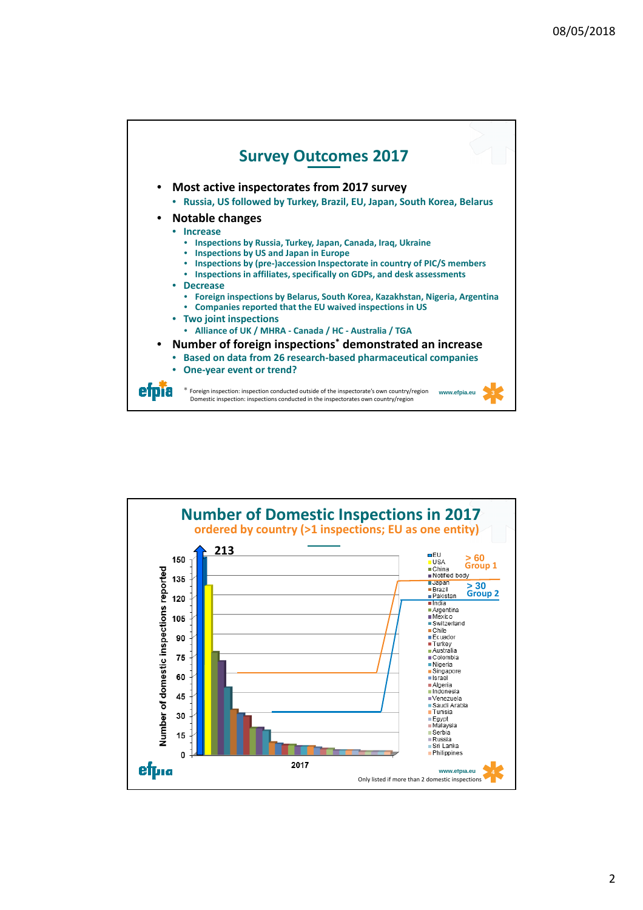

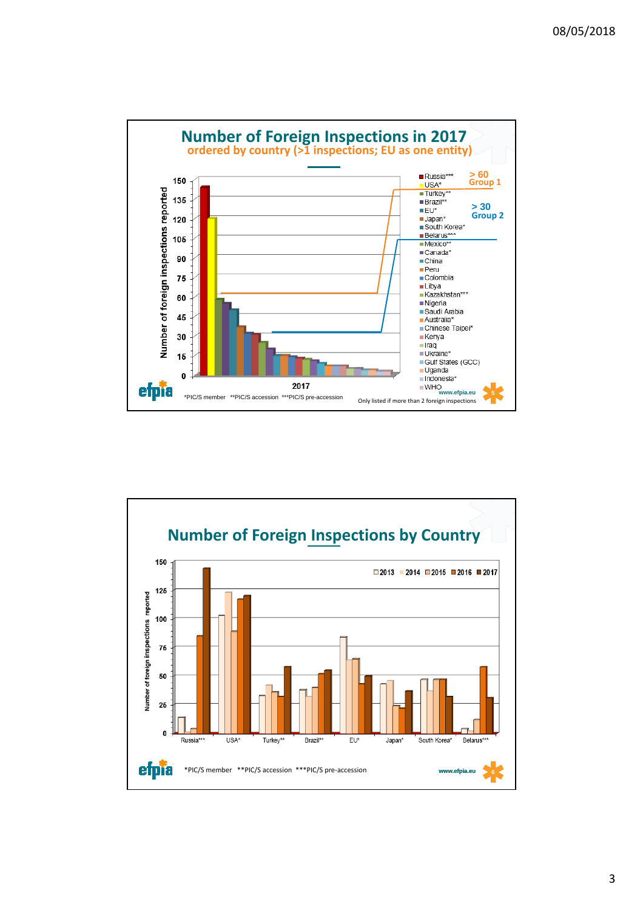

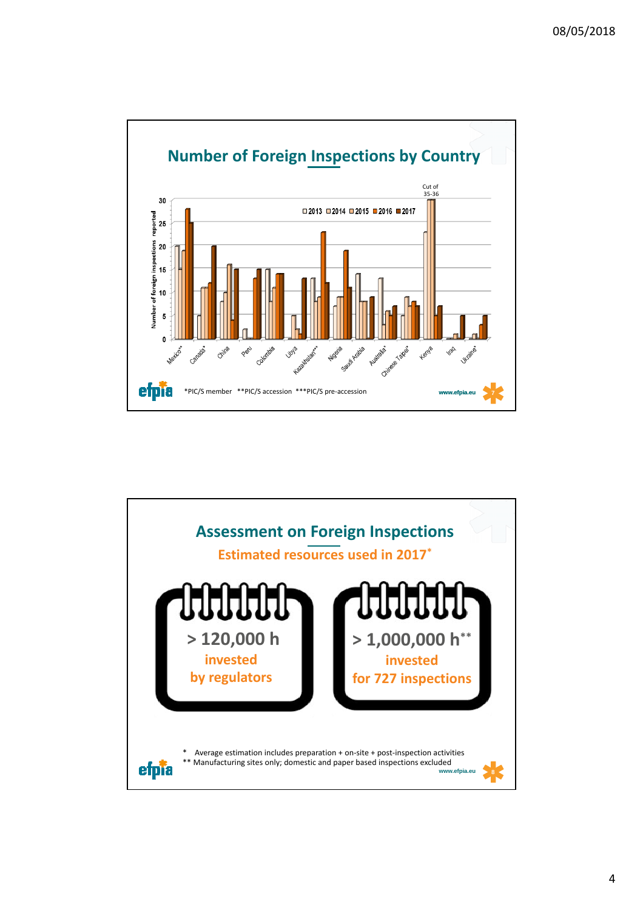

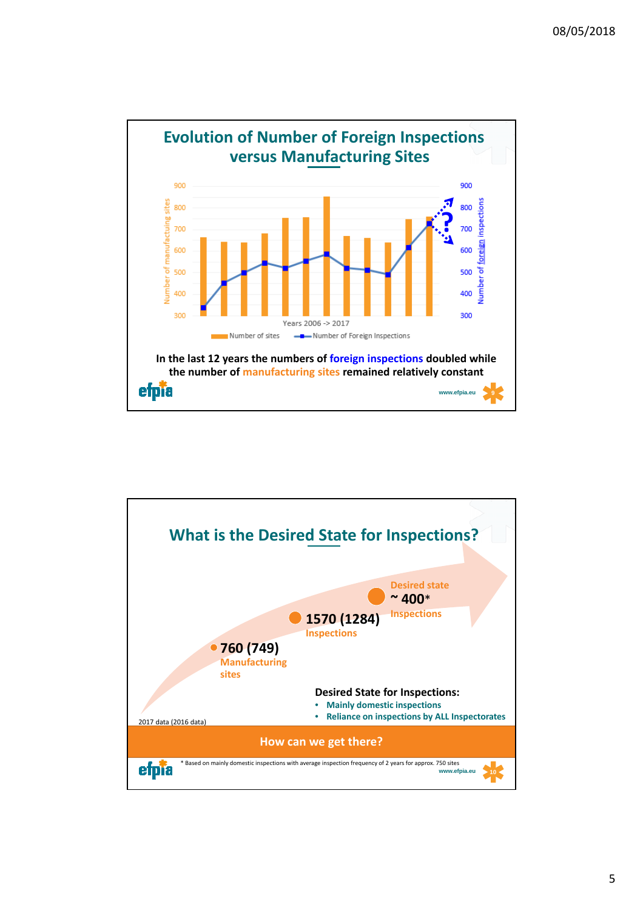

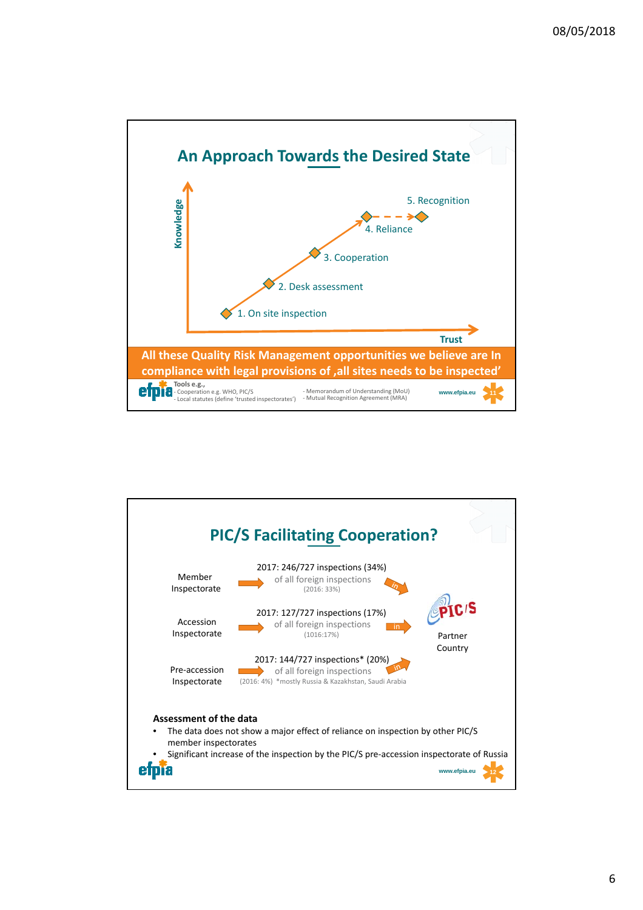

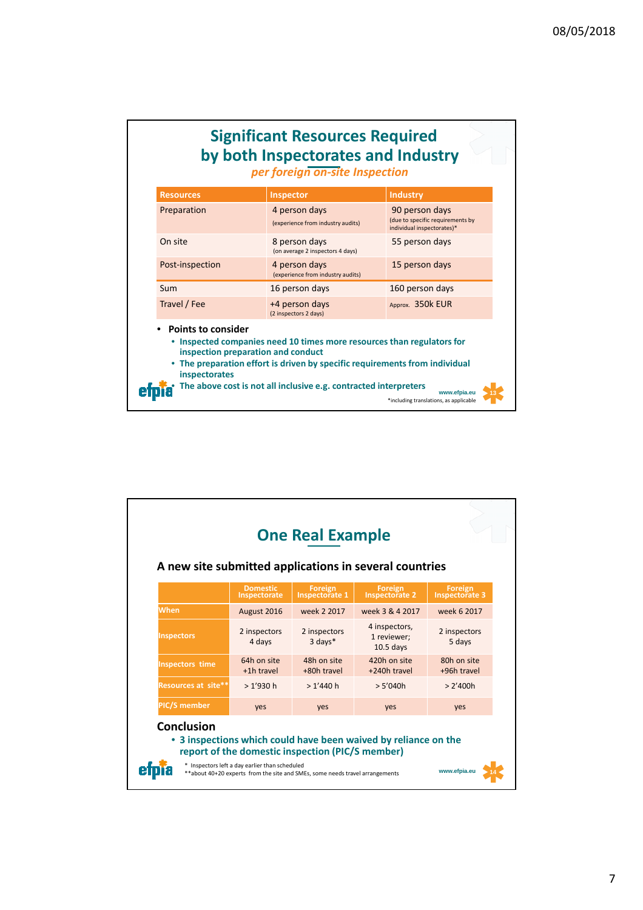| <b>Significant Resources Required</b><br>by both Inspectorates and Industry<br>per foreign on-site Inspection |                                                                                                                                                                                                                       |                                                                                  |  |  |
|---------------------------------------------------------------------------------------------------------------|-----------------------------------------------------------------------------------------------------------------------------------------------------------------------------------------------------------------------|----------------------------------------------------------------------------------|--|--|
| <b>Resources</b>                                                                                              | Inspector                                                                                                                                                                                                             | <b>Industry</b>                                                                  |  |  |
| Preparation                                                                                                   | 4 person days<br>(experience from industry audits)                                                                                                                                                                    | 90 person days<br>(due to specific requirements by<br>individual inspectorates)* |  |  |
| On site                                                                                                       | 8 person days<br>(on average 2 inspectors 4 days)                                                                                                                                                                     | 55 person days                                                                   |  |  |
| Post-inspection                                                                                               | 4 person days<br>(experience from industry audits)                                                                                                                                                                    | 15 person days                                                                   |  |  |
| Sum                                                                                                           | 16 person days                                                                                                                                                                                                        | 160 person days                                                                  |  |  |
| Travel / Fee                                                                                                  | +4 person days<br>(2 inspectors 2 days)                                                                                                                                                                               | Approx. 350k EUR                                                                 |  |  |
| • Points to consider<br>inspection preparation and conduct<br>inspectorates                                   | Inspected companies need 10 times more resources than regulators for<br>The preparation effort is driven by specific requirements from individual<br>The above cost is not all inclusive e.g. contracted interpreters | www.efpia.eu<br>*including translations, as applicable                           |  |  |

| <b>One Real Example</b><br>A new site submitted applications in several countries |                                 |                                                  |                                                               |                                  |
|-----------------------------------------------------------------------------------|---------------------------------|--------------------------------------------------|---------------------------------------------------------------|----------------------------------|
|                                                                                   | <b>Domestic</b><br>Inspectorate | <b>Foreign</b><br><b>Inspectorate 1</b>          | <b>Foreign</b><br><b>Inspectorate 2</b>                       | Foreign<br><b>Inspectorate 3</b> |
| When                                                                              | August 2016                     | week 2 2017                                      | week 3 & 4 2017                                               | week 6 2017                      |
| <b>Inspectors</b>                                                                 | 2 inspectors<br>4 days          | 2 inspectors<br>3 days*                          | 4 inspectors,<br>1 reviewer:<br>$10.5$ days                   | 2 inspectors<br>5 days           |
| <b>Inspectors time</b>                                                            | 64h on site<br>+1h travel       | 48h on site<br>+80h travel                       | 420h on site<br>+240h travel                                  | 80h on site<br>+96h travel       |
| Resources at site**                                                               | > 1'930 h                       | >1'440h                                          | > 5'040h                                                      | > 2'400h                         |
| <b>PIC/S member</b>                                                               | yes                             | <b>ves</b>                                       | yes                                                           | ves                              |
| <b>Conclusion</b>                                                                 |                                 | report of the domestic inspection (PIC/S member) | 3 inspections which could have been waived by reliance on the |                                  |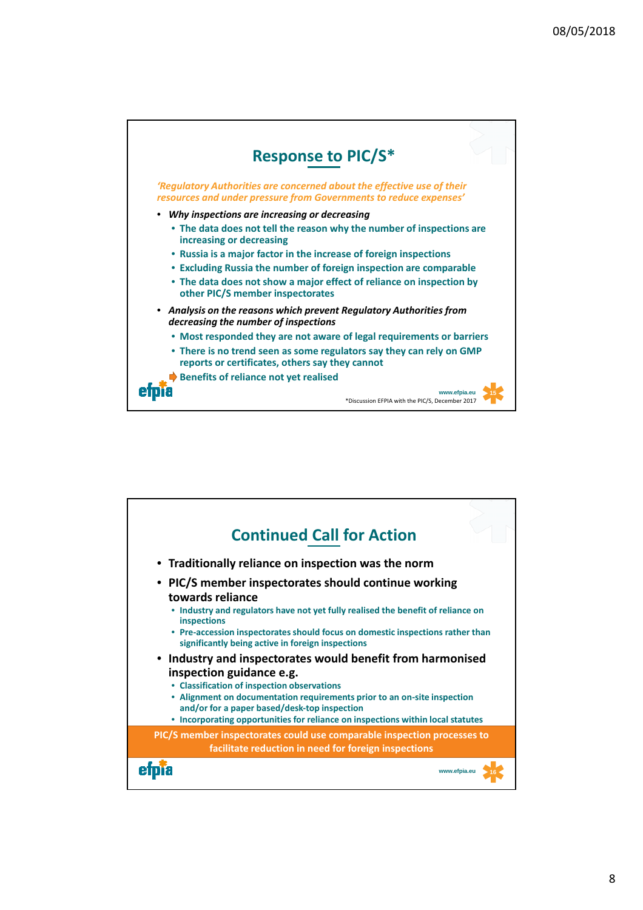

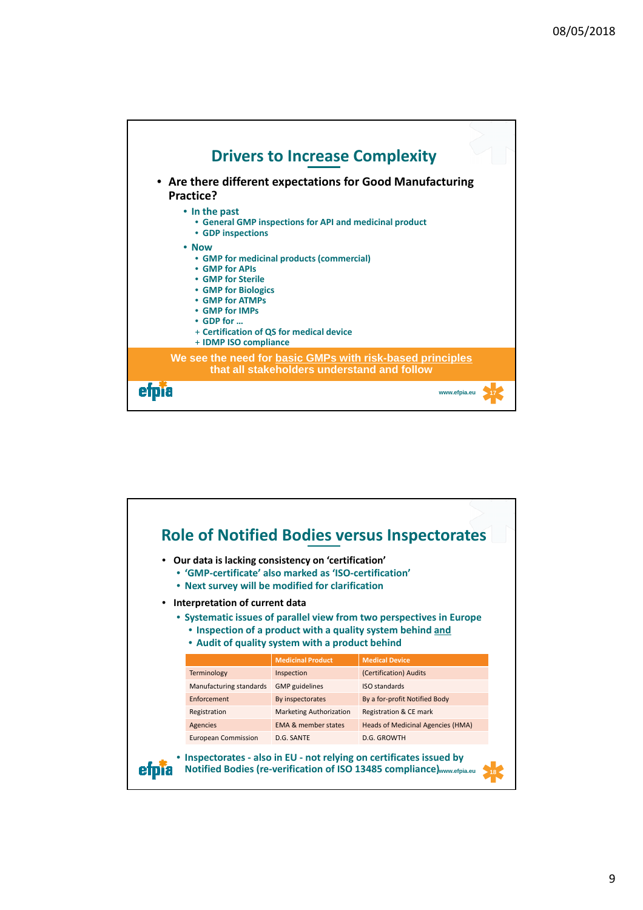

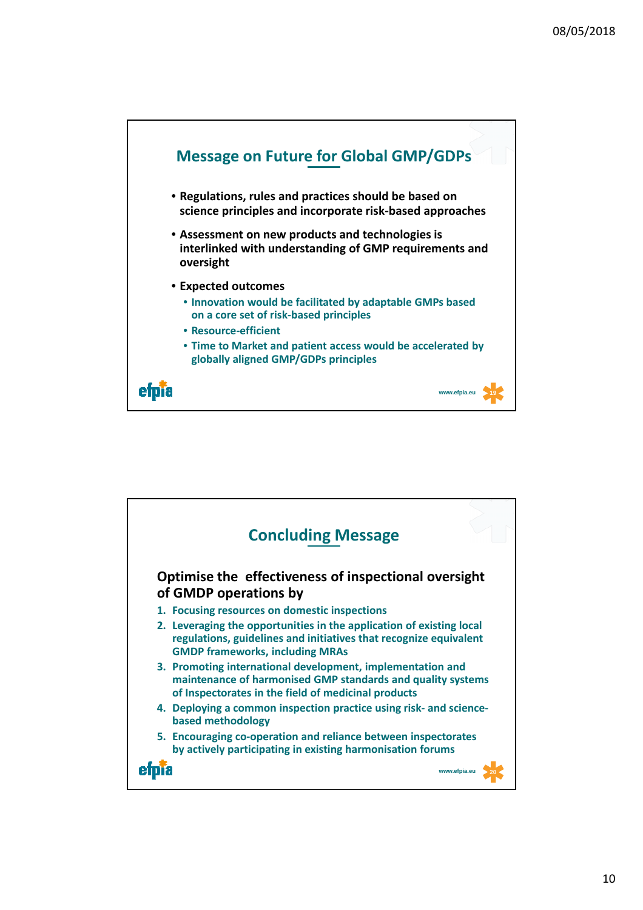

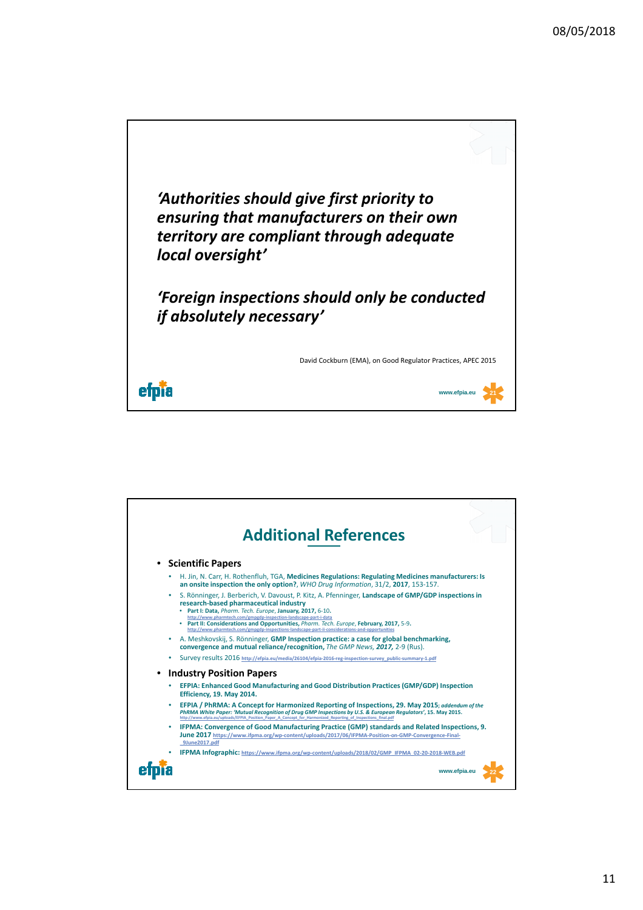